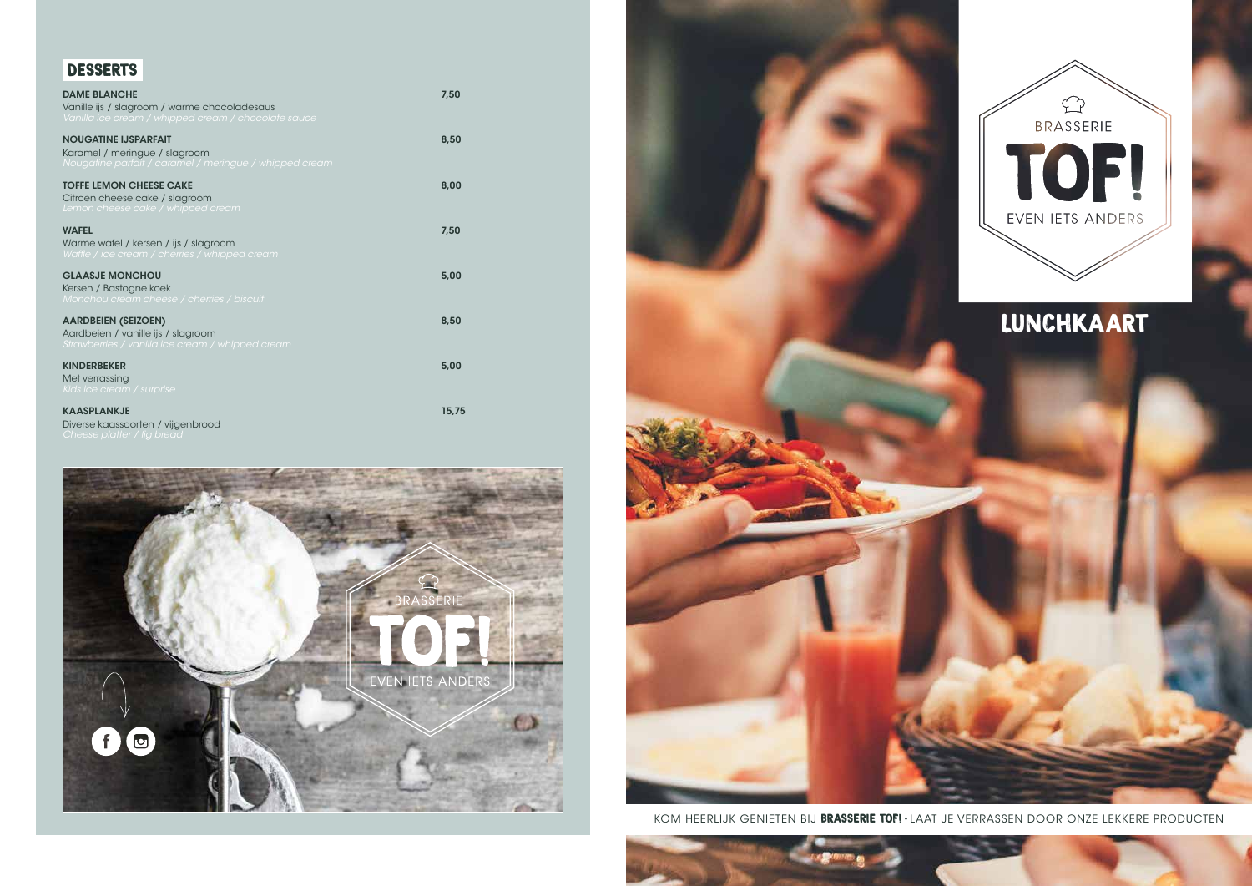# LUNCHKAART

## DESSERTS

| <b>DAME BLANCHE</b><br>Vanille ijs / slagroom / warme chocoladesaus<br>Vanilla ice cream / whipped cream / chocolate sauce | 7,50  |
|----------------------------------------------------------------------------------------------------------------------------|-------|
| <b>NOUGATINE IJSPARFAIT</b><br>Karamel / meringue / slagroom<br>Nougatine parfait / caramel / meringue / whipped cream     | 8,50  |
| <b>TOFFE LEMON CHEESE CAKE</b><br>Citroen cheese cake / slagroom<br>Lemon cheese cake / whipped cream                      | 8,00  |
| <b>WAFEL</b><br>Warme wafel / kersen / ijs / slagroom<br>Waffle / ice cream / cherries / whipped cream                     | 7,50  |
| <b>GLAASJE MONCHOU</b><br>Kersen / Bastogne koek<br>Monchou cream cheese / cherries / biscuit                              | 5,00  |
| <b>AARDBEIEN (SEIZOEN)</b><br>Aardbeien / vanille ijs / slagroom<br>Strawberries / vanilla ice cream / whipped cream       | 8,50  |
| <b>KINDERBEKER</b><br>Met verrassing<br>Kids ice cream / surprise                                                          | 5,00  |
| <b>KAASPLANKJE</b>                                                                                                         | 15,75 |

Diverse kaassoorten / vijgenbrood





KOM HEERLIJK GENIETEN BIJ BRASSERIE TOF! • LAAT JE VERRASSEN DOOR ONZE LEKKERE PRODUCTEN